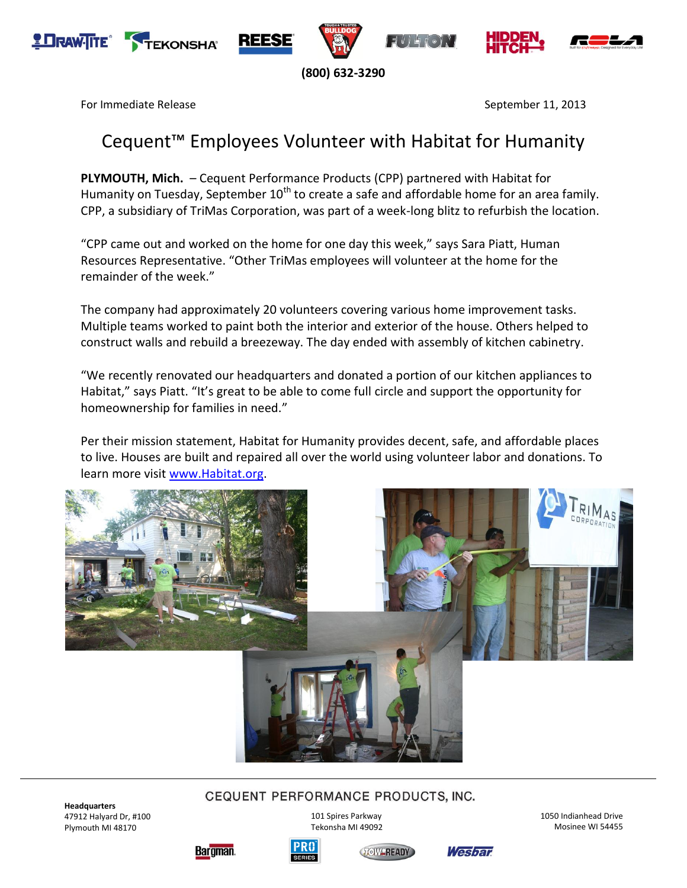







**(800) 632-3290**

For Immediate Release September 11, 2013

# Cequent™ Employees Volunteer with Habitat for Humanity

**PLYMOUTH, Mich.** – Cequent Performance Products (CPP) partnered with Habitat for Humanity on Tuesday, September  $10<sup>th</sup>$  to create a safe and affordable home for an area family. CPP, a subsidiary of TriMas Corporation, was part of a week-long blitz to refurbish the location.

"CPP came out and worked on the home for one day this week," says Sara Piatt, Human Resources Representative. "Other TriMas employees will volunteer at the home for the remainder of the week."

The company had approximately 20 volunteers covering various home improvement tasks. Multiple teams worked to paint both the interior and exterior of the house. Others helped to construct walls and rebuild a breezeway. The day ended with assembly of kitchen cabinetry.

"We recently renovated our headquarters and donated a portion of our kitchen appliances to Habitat," says Piatt. "It's great to be able to come full circle and support the opportunity for homeownership for families in need."

Per their mission statement, Habitat for Humanity provides decent, safe, and affordable places to live. Houses are built and repaired all over the world using volunteer labor and donations. To learn more visit [www.Habitat.org.](http://www.habitat.org/)



# CEQUENT PERFORMANCE PRODUCTS, INC.

**Headquarters** 47912 Halyard Dr, #100 Plymouth MI 48170

101 Spires Parkway Tekonsha MI 49092